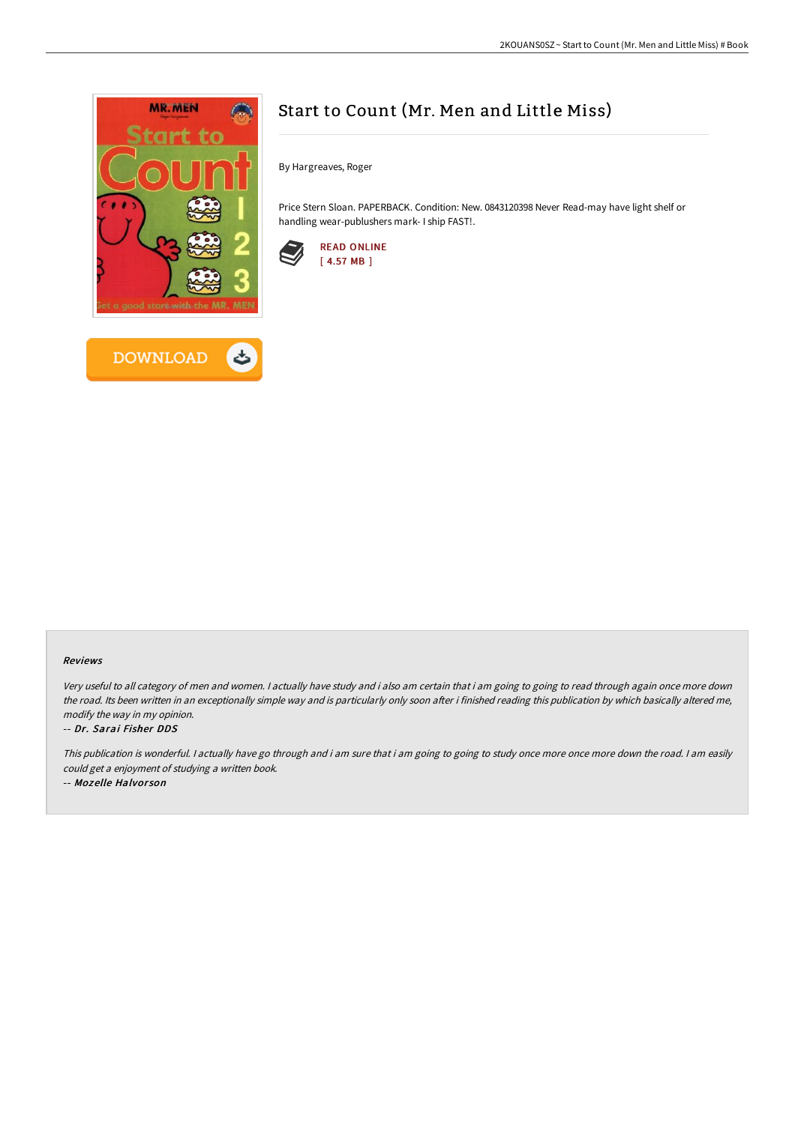



# Start to Count (Mr. Men and Little Miss)

By Hargreaves, Roger

Price Stern Sloan. PAPERBACK. Condition: New. 0843120398 Never Read-may have light shelf or handling wear-publushers mark- I ship FAST!.



### Reviews

Very useful to all category of men and women. <sup>I</sup> actually have study and i also am certain that i am going to going to read through again once more down the road. Its been written in an exceptionally simple way and is particularly only soon after i finished reading this publication by which basically altered me, modify the way in my opinion.

#### -- Dr. Sarai Fisher DDS

This publication is wonderful. <sup>I</sup> actually have go through and i am sure that i am going to going to study once more once more down the road. <sup>I</sup> am easily could get <sup>a</sup> enjoyment of studying <sup>a</sup> written book.

-- Mozelle Halvor son